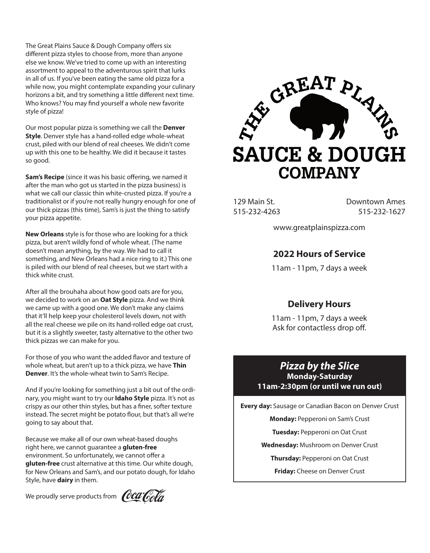The Great Plains Sauce & Dough Company offers six different pizza styles to choose from, more than anyone else we know. We've tried to come up with an interesting assortment to appeal to the adventurous spirit that lurks in all of us. If you've been eating the same old pizza for a while now, you might contemplate expanding your culinary horizons a bit, and try something a little different next time. Who knows? You may find yourself a whole new favorite style of pizza!

Our most popular pizza is something we call the **Denver Style**. Denver style has a hand-rolled edge whole-wheat crust, piled with our blend of real cheeses. We didn't come up with this one to be healthy. We did it because it tastes so good.

**Sam's Recipe** (since it was his basic offering, we named it after the man who got us started in the pizza business) is what we call our classic thin white-crusted pizza. If you're a traditionalist or if you're not really hungry enough for one of our thick pizzas (this time), Sam's is just the thing to satisfy your pizza appetite.

**New Orleans** style is for those who are looking for a thick pizza, but aren't wildly fond of whole wheat. (The name doesn't mean anything, by the way. We had to call it something, and New Orleans had a nice ring to it.) This one is piled with our blend of real cheeses, but we start with a thick white crust.

After all the brouhaha about how good oats are for you, we decided to work on an **Oat Style** pizza. And we think we came up with a good one. We don't make any claims that it'll help keep your cholesterol levels down, not with all the real cheese we pile on its hand-rolled edge oat crust, but it is a slightly sweeter, tasty alternative to the other two thick pizzas we can make for you.

For those of you who want the added flavor and texture of whole wheat, but aren't up to a thick pizza, we have **Thin Denver**. It's the whole-wheat twin to Sam's Recipe.

And if you're looking for something just a bit out of the ordinary, you might want to try our **Idaho Style** pizza. It's not as crispy as our other thin styles, but has a finer, softer texture instead. The secret might be potato flour, but that's all we're going to say about that.

Because we make all of our own wheat-based doughs right here, we cannot guarantee a **gluten-free** environment. So unfortunately, we cannot offer a **gluten-free** crust alternative at this time. Our white dough, for New Orleans and Sam's, and our potato dough, for Idaho Style, have **dairy** in them.

We proudly serve products from  $\theta$ **Ca** 



129 Main St. 515-232-4263 Downtown Ames 515-232-1627

www.greatplainspizza.com

### **2022 Hours of Service**

11am - 11pm, 7 days a week

## **Delivery Hours**

11am - 11pm, 7 days a week Ask for contactless drop off.

### *Pizza by the Slice* **Monday-Saturday 11am-2:30pm (or until we run out)**

**Every day:** Sausage or Canadian Bacon on Denver Crust

**Monday:** Pepperoni on Sam's Crust

**Tuesday:** Pepperoni on Oat Crust

**Wednesday:** Mushroom on Denver Crust

**Thursday:** Pepperoni on Oat Crust

**Friday:** Cheese on Denver Crust